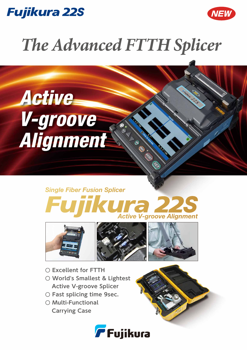



# *The Advanced FTTH Splicer*

Active V-groove Alignment

## **Single Fiber Fusion Splicer ra 22 Active V-groove Alignment**

AND STRIKE STRIKE STRIKE







- **○ Excellent for FTTH**
- **○ World's Smallest & Lightest Active V-groove Splicer**
- **○ Fast splicing time 9sec.**
- **○ Multi-Functional Carrying Case**